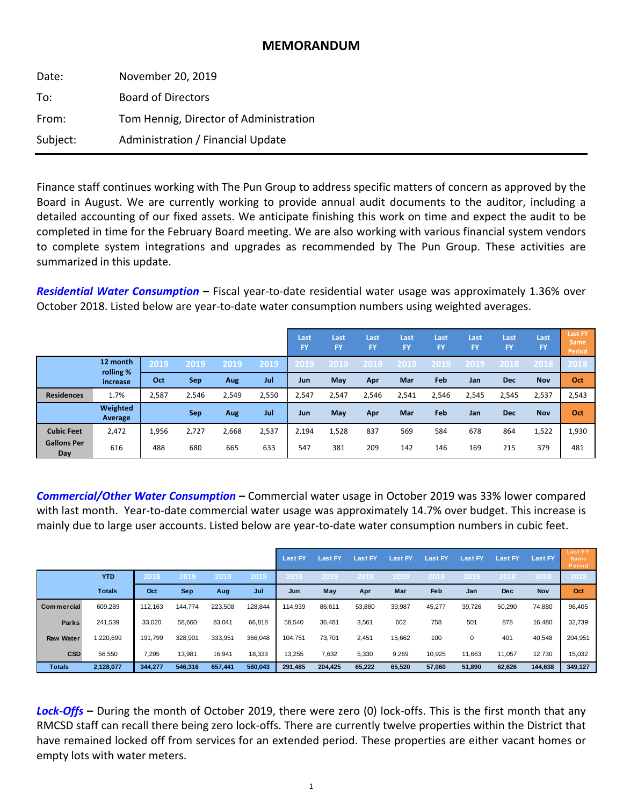# **MEMORANDUM**

| Date:    | November 20, 2019                      |
|----------|----------------------------------------|
| To:      | <b>Board of Directors</b>              |
| From:    | Tom Hennig, Director of Administration |
| Subject: | Administration / Financial Update      |

Finance staff continues working with The Pun Group to address specific matters of concern as approved by the Board in August. We are currently working to provide annual audit documents to the auditor, including a detailed accounting of our fixed assets. We anticipate finishing this work on time and expect the audit to be completed in time for the February Board meeting. We are also working with various financial system vendors to complete system integrations and upgrades as recommended by The Pun Group. These activities are summarized in this update.

*Residential Water Consumption* **–** Fiscal year‐to‐date residential water usage was approximately 1.36% over October 2018. Listed below are year‐to‐date water consumption numbers using weighted averages.

|                           |                       |       |       |       |       | Last<br>FY | Last<br><b>FY</b> | Last<br><b>FY</b> | Last<br>FY | Last<br><b>FY</b> | Last<br><b>FY</b> | Last<br><b>FY</b> | Last<br><b>FY</b> | <b>Last FY</b><br><b>Same</b><br><b>Period</b> |
|---------------------------|-----------------------|-------|-------|-------|-------|------------|-------------------|-------------------|------------|-------------------|-------------------|-------------------|-------------------|------------------------------------------------|
|                           | 12 month              | 2019  | 2019  | 2019  | 2019  | 2019       | <b>2019</b>       | .2019             | 2019       | 2019              | 2019              | 2018              | 2018              | 2018                                           |
|                           | rolling %<br>increase | Oct   | Sep   | Aug   | Jul   | Jun        | May               | <b>Apr</b>        | Mar        | Feb               | Jan               | <b>Dec</b>        | <b>Nov</b>        | Oct                                            |
| <b>Residences</b>         | 1.7%                  | 2,587 | 2,546 | 2,549 | 2,550 | 2,547      | 2,547             | 2,546             | 2,541      | 2,546             | 2,545             | 2,545             | 2,537             | 2,543                                          |
|                           | Weighted<br>Average   |       | Sep   | Aug   | Jul   | Jun        | May               | Apr               | Mar        | Feb               | Jan               | <b>Dec</b>        | <b>Nov</b>        | Oct                                            |
| <b>Cubic Feet</b>         | 2,472                 | 1,956 | 2,727 | 2,668 | 2,537 | 2,194      | 1,528             | 837               | 569        | 584               | 678               | 864               | 1,522             | 1,930                                          |
| <b>Gallons Per</b><br>Day | 616                   | 488   | 680   | 665   | 633   | 547        | 381               | 209               | 142        | 146               | 169               | 215               | 379               | 481                                            |

*Commercial/Other Water Consumption* **–** Commercial water usage in October 2019 was 33% lower compared with last month. Year-to-date commercial water usage was approximately 14.7% over budget. This increase is mainly due to large user accounts. Listed below are year‐to‐date water consumption numbers in cubic feet.

|                  |               |         |            |         |         | <b>Last FY</b> | <b>Last FY</b> | <b>Last FY</b> | Last FY | <b>Last FY</b> | <b>Last FY</b> | <b>Last FY</b> | <b>Last FY</b> | <b>Last FY</b><br><b>Same</b><br>Period |
|------------------|---------------|---------|------------|---------|---------|----------------|----------------|----------------|---------|----------------|----------------|----------------|----------------|-----------------------------------------|
|                  | <b>YTD</b>    | 2019    | 2019       | 2019    | 2019    | 2019           | 2019           | 2019           | 2019    | 2019           | 2019           | 2018           | 2018           | 2018                                    |
|                  | <b>Totals</b> | Oct     | <b>Sep</b> | Aug     | Jul     | Jun            | May            | Apr            | Mar     | Feb            | Jan            | <b>Dec</b>     | Nov            | Oct                                     |
| Commercial       | 609,289       | 112,163 | 144,774    | 223,508 | 128,844 | 114.939        | 86,611         | 53,880         | 39,987  | 45,277         | 39,726         | 50,290         | 74,880         | 96,405                                  |
| Parks            | 241,539       | 33,020  | 58,660     | 83,041  | 66,818  | 58,540         | 36,481         | 3,561          | 602     | 758            | 501            | 878            | 16,480         | 32,739                                  |
| <b>Raw Water</b> | 1,220,699     | 191,799 | 328,901    | 333,951 | 366,048 | 104.751        | 73,701         | 2,451          | 15,662  | 100            | $\mathbf 0$    | 401            | 40,548         | 204,951                                 |
| <b>CSD</b>       | 56,550        | 7,295   | 13,981     | 16,941  | 18,333  | 13,255         | 7,632          | 5,330          | 9,269   | 10,925         | 11,663         | 11,057         | 12,730         | 15,032                                  |
| <b>Totals</b>    | 2,128,077     | 344.277 | 546.316    | 657.441 | 580.043 | 291.485        | 204.425        | 65,222         | 65,520  | 57,060         | 51,890         | 62,626         | 144,638        | 349.127                                 |

*Lock‐Offs* **–** During the month of October 2019, there were zero (0) lock‐offs. This is the first month that any RMCSD staff can recall there being zero lock‐offs. There are currently twelve properties within the District that have remained locked off from services for an extended period. These properties are either vacant homes or empty lots with water meters.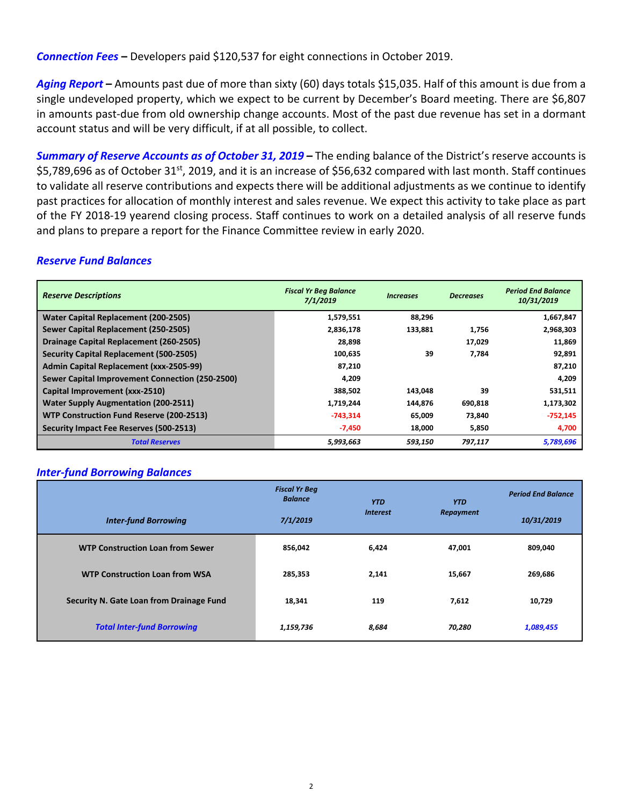*Connection Fees* **–** Developers paid \$120,537 for eight connections in October 2019.

*Aging Report* **–** Amounts past due of more than sixty (60) days totals \$15,035. Half of this amount is due from a single undeveloped property, which we expect to be current by December's Board meeting. There are \$6,807 in amounts past-due from old ownership change accounts. Most of the past due revenue has set in a dormant account status and will be very difficult, if at all possible, to collect.

*Summary of Reserve Accounts as of October 31, 2019 –* The ending balance of the District's reserve accounts is \$5,789,696 as of October 31<sup>st</sup>, 2019, and it is an increase of \$56,632 compared with last month. Staff continues to validate all reserve contributions and expects there will be additional adjustments as we continue to identify past practices for allocation of monthly interest and sales revenue. We expect this activity to take place as part of the FY 2018‐19 yearend closing process. Staff continues to work on a detailed analysis of all reserve funds and plans to prepare a report for the Finance Committee review in early 2020.

## *Reserve Fund Balances*

| <b>Reserve Descriptions</b>                     | <b>Fiscal Yr Beg Balance</b><br>7/1/2019 | <i><u><b>Increases</b></u></i> | <b>Decreases</b> | <b>Period End Balance</b><br>10/31/2019 |
|-------------------------------------------------|------------------------------------------|--------------------------------|------------------|-----------------------------------------|
| Water Capital Replacement (200-2505)            | 1,579,551                                | 88,296                         |                  | 1,667,847                               |
| Sewer Capital Replacement (250-2505)            | 2,836,178                                | 133,881                        | 1,756            | 2,968,303                               |
| Drainage Capital Replacement (260-2505)         | 28,898                                   |                                | 17,029           | 11,869                                  |
| <b>Security Capital Replacement (500-2505)</b>  | 100,635                                  | 39                             | 7,784            | 92,891                                  |
| Admin Capital Replacement (xxx-2505-99)         | 87.210                                   |                                |                  | 87,210                                  |
| Sewer Capital Improvement Connection (250-2500) | 4,209                                    |                                |                  | 4,209                                   |
| Capital Improvement (xxx-2510)                  | 388,502                                  | 143,048                        | 39               | 531,511                                 |
| <b>Water Supply Augmentation (200-2511)</b>     | 1,719,244                                | 144,876                        | 690,818          | 1,173,302                               |
| WTP Construction Fund Reserve (200-2513)        | $-743,314$                               | 65,009                         | 73,840           | $-752,145$                              |
| Security Impact Fee Reserves (500-2513)         | $-7,450$                                 | 18,000                         | 5,850            | 4,700                                   |
| <b>Total Reserves</b>                           | 5,993,663                                | 593,150                        | 797,117          | 5,789,696                               |

#### *Inter‐fund Borrowing Balances*

|                                          | <b>Fiscal Yr Beg</b><br><b>Balance</b> | <b>YTD</b>      | <b>YTD</b> | <b>Period End Balance</b> |
|------------------------------------------|----------------------------------------|-----------------|------------|---------------------------|
| <b>Inter-fund Borrowing</b>              | 7/1/2019                               | <b>Interest</b> | Repayment  | 10/31/2019                |
| <b>WTP Construction Loan from Sewer</b>  | 856,042                                | 6,424           | 47,001     | 809,040                   |
| <b>WTP Construction Loan from WSA</b>    | 285,353                                | 2,141           | 15,667     | 269,686                   |
| Security N. Gate Loan from Drainage Fund | 18,341                                 | 119             | 7,612      | 10,729                    |
| <b>Total Inter-fund Borrowing</b>        | 1,159,736                              | 8,684           | 70,280     | 1,089,455                 |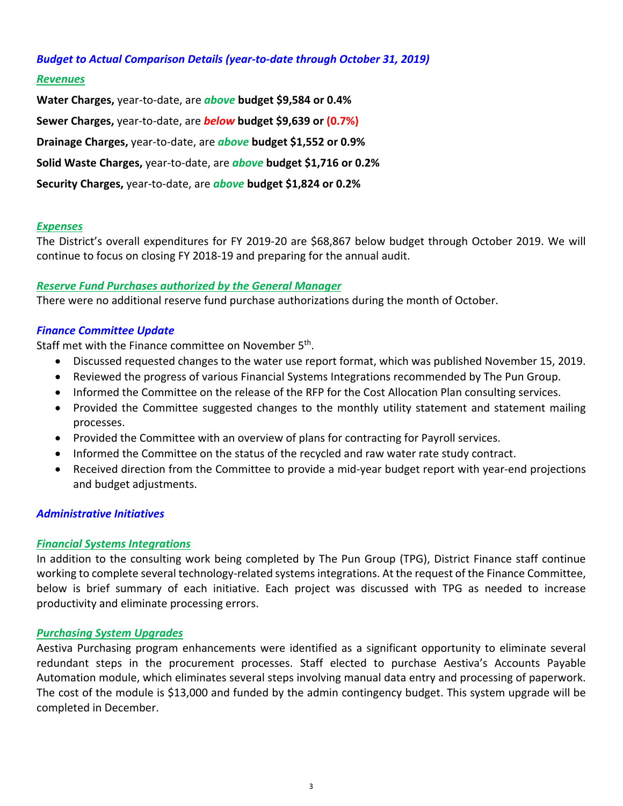### *Budget to Actual Comparison Details (year‐to‐date through October 31, 2019)*

#### *Revenues*

**Water Charges,** year‐to‐date, are *above* **budget \$9,584 or 0.4% Sewer Charges,** year‐to‐date, are *below* **budget \$9,639 or (0.7%) Drainage Charges,** year‐to‐date, are *above* **budget \$1,552 or 0.9% Solid Waste Charges,** year‐to‐date, are *above* **budget \$1,716 or 0.2% Security Charges,** year‐to‐date, are *above* **budget \$1,824 or 0.2%**

#### *Expenses*

The District's overall expenditures for FY 2019‐20 are \$68,867 below budget through October 2019. We will continue to focus on closing FY 2018‐19 and preparing for the annual audit.

#### *Reserve Fund Purchases authorized by the General Manager*

There were no additional reserve fund purchase authorizations during the month of October.

### *Finance Committee Update*

Staff met with the Finance committee on November 5<sup>th</sup>.

- Discussed requested changes to the water use report format, which was published November 15, 2019.
- Reviewed the progress of various Financial Systems Integrations recommended by The Pun Group.
- Informed the Committee on the release of the RFP for the Cost Allocation Plan consulting services.
- Provided the Committee suggested changes to the monthly utility statement and statement mailing processes.
- Provided the Committee with an overview of plans for contracting for Payroll services.
- Informed the Committee on the status of the recycled and raw water rate study contract.
- Received direction from the Committee to provide a mid-year budget report with year-end projections and budget adjustments.

#### *Administrative Initiatives*

#### *Financial Systems Integrations*

In addition to the consulting work being completed by The Pun Group (TPG), District Finance staff continue working to complete several technology-related systems integrations. At the request of the Finance Committee, below is brief summary of each initiative. Each project was discussed with TPG as needed to increase productivity and eliminate processing errors.

#### *Purchasing System Upgrades*

Aestiva Purchasing program enhancements were identified as a significant opportunity to eliminate several redundant steps in the procurement processes. Staff elected to purchase Aestiva's Accounts Payable Automation module, which eliminates several steps involving manual data entry and processing of paperwork. The cost of the module is \$13,000 and funded by the admin contingency budget. This system upgrade will be completed in December.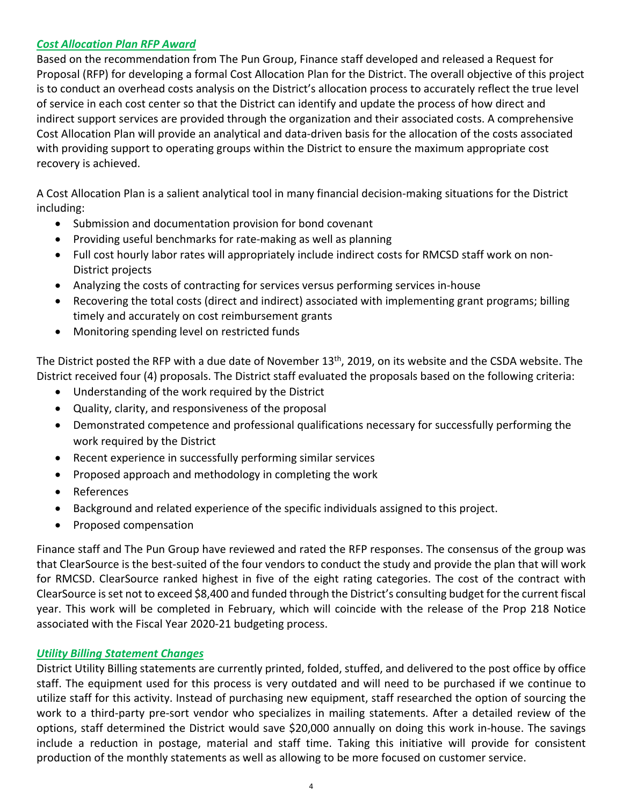## *Cost Allocation Plan RFP Award*

Based on the recommendation from The Pun Group, Finance staff developed and released a Request for Proposal (RFP) for developing a formal Cost Allocation Plan for the District. The overall objective of this project is to conduct an overhead costs analysis on the District's allocation process to accurately reflect the true level of service in each cost center so that the District can identify and update the process of how direct and indirect support services are provided through the organization and their associated costs. A comprehensive Cost Allocation Plan will provide an analytical and data‐driven basis for the allocation of the costs associated with providing support to operating groups within the District to ensure the maximum appropriate cost recovery is achieved.

A Cost Allocation Plan is a salient analytical tool in many financial decision‐making situations for the District including:

- Submission and documentation provision for bond covenant
- Providing useful benchmarks for rate-making as well as planning
- Full cost hourly labor rates will appropriately include indirect costs for RMCSD staff work on non-District projects
- Analyzing the costs of contracting for services versus performing services in‐house
- Recovering the total costs (direct and indirect) associated with implementing grant programs; billing timely and accurately on cost reimbursement grants
- Monitoring spending level on restricted funds

The District posted the RFP with a due date of November 13<sup>th</sup>, 2019, on its website and the CSDA website. The District received four (4) proposals. The District staff evaluated the proposals based on the following criteria:

- Understanding of the work required by the District
- Quality, clarity, and responsiveness of the proposal
- Demonstrated competence and professional qualifications necessary for successfully performing the work required by the District
- Recent experience in successfully performing similar services
- Proposed approach and methodology in completing the work
- References
- Background and related experience of the specific individuals assigned to this project.
- Proposed compensation

Finance staff and The Pun Group have reviewed and rated the RFP responses. The consensus of the group was that ClearSource is the best‐suited of the four vendors to conduct the study and provide the plan that will work for RMCSD. ClearSource ranked highest in five of the eight rating categories. The cost of the contract with ClearSource isset not to exceed \$8,400 and funded through the District's consulting budget for the current fiscal year. This work will be completed in February, which will coincide with the release of the Prop 218 Notice associated with the Fiscal Year 2020‐21 budgeting process.

## *Utility Billing Statement Changes*

District Utility Billing statements are currently printed, folded, stuffed, and delivered to the post office by office staff. The equipment used for this process is very outdated and will need to be purchased if we continue to utilize staff for this activity. Instead of purchasing new equipment, staff researched the option of sourcing the work to a third-party pre-sort vendor who specializes in mailing statements. After a detailed review of the options, staff determined the District would save \$20,000 annually on doing this work in‐house. The savings include a reduction in postage, material and staff time. Taking this initiative will provide for consistent production of the monthly statements as well as allowing to be more focused on customer service.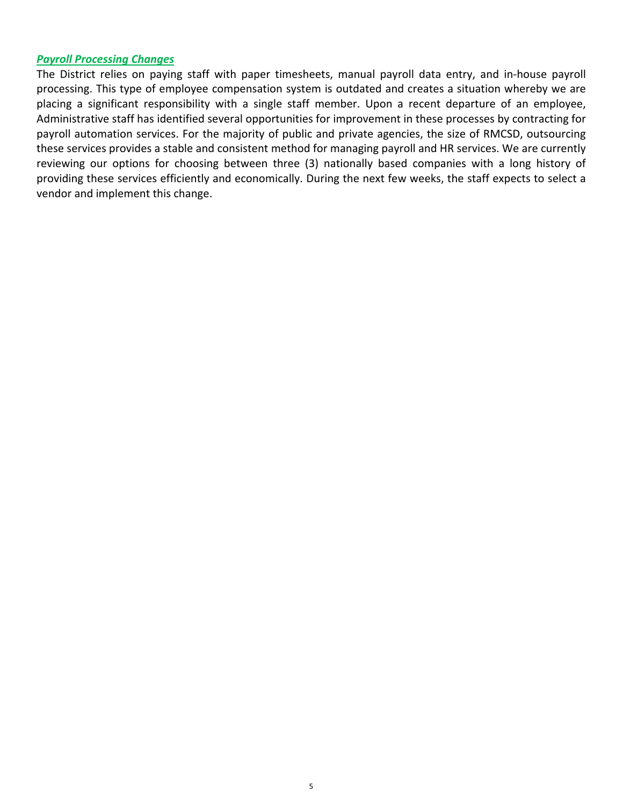#### *Payroll Processing Changes*

The District relies on paying staff with paper timesheets, manual payroll data entry, and in‐house payroll processing. This type of employee compensation system is outdated and creates a situation whereby we are placing a significant responsibility with a single staff member. Upon a recent departure of an employee, Administrative staff has identified several opportunities for improvement in these processes by contracting for payroll automation services. For the majority of public and private agencies, the size of RMCSD, outsourcing these services provides a stable and consistent method for managing payroll and HR services. We are currently reviewing our options for choosing between three (3) nationally based companies with a long history of providing these services efficiently and economically. During the next few weeks, the staff expects to select a vendor and implement this change.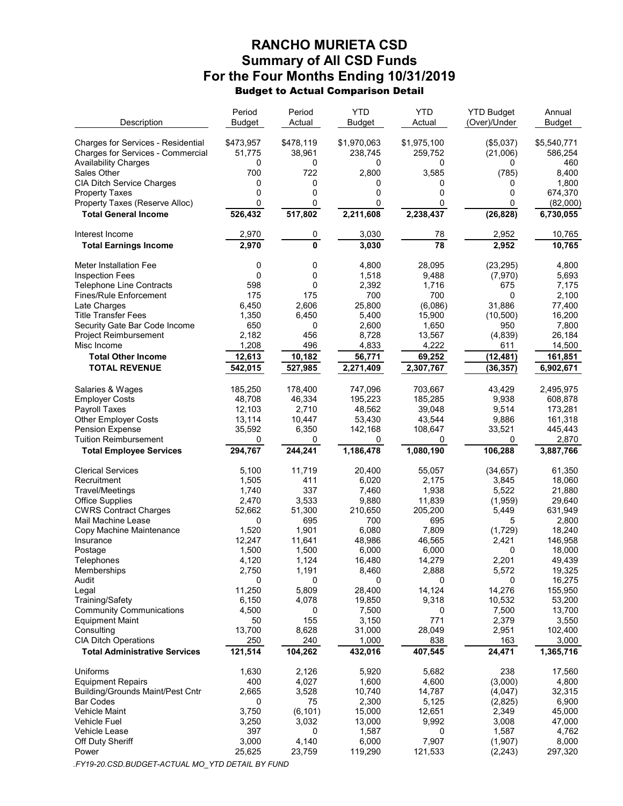# RANCHO MURIETA CSD Summary of All CSD Funds For the Four Months Ending 10/31/2019 Budget to Actual Comparison Detail

| Description                                                         | Period<br>Budget | Period<br>Actual | <b>YTD</b><br><b>Budget</b> | <b>YTD</b><br>Actual | <b>YTD Budget</b><br>(Over)/Under | Annual<br><b>Budget</b> |
|---------------------------------------------------------------------|------------------|------------------|-----------------------------|----------------------|-----------------------------------|-------------------------|
| Charges for Services - Residential                                  | \$473,957        | \$478,119        | \$1,970,063                 | \$1,975,100          | (\$5,037)                         | \$5,540,771             |
| Charges for Services - Commercial                                   | 51,775           | 38,961           | 238,745                     | 259,752              | (21,006)                          | 586,254                 |
| <b>Availability Charges</b>                                         | 0                | 0                | 0                           | 0                    | 0                                 | 460                     |
| Sales Other                                                         | 700              | 722              | 2,800                       | 3,585                | (785)                             | 8,400                   |
| <b>CIA Ditch Service Charges</b>                                    | 0                | 0                | 0                           | 0                    | 0                                 | 1,800                   |
| <b>Property Taxes</b>                                               | 0                | 0                | 0                           | 0                    | 0                                 | 674,370                 |
| Property Taxes (Reserve Alloc)                                      | 0                | 0                | 0                           | 0                    | 0                                 | (82,000)                |
| <b>Total General Income</b>                                         | 526,432          | 517,802          | 2,211,608                   | 2,238,437            | (26, 828)                         | 6,730,055               |
| Interest Income                                                     | 2,970            | 0                | 3,030                       | 78                   | 2,952                             | 10,765                  |
| <b>Total Earnings Income</b>                                        | 2,970            | 0                | 3,030                       | 78                   | 2,952                             | 10,765                  |
| Meter Installation Fee                                              | 0                | 0                | 4,800                       | 28,095               | (23, 295)                         | 4,800                   |
| <b>Inspection Fees</b>                                              | 0                | 0                | 1,518                       | 9,488                | (7,970)                           | 5,693                   |
| <b>Telephone Line Contracts</b>                                     | 598              | 0                | 2,392                       | 1,716                | 675                               | 7,175                   |
| Fines/Rule Enforcement                                              | 175              | 175              | 700                         | 700                  | 0                                 | 2,100                   |
| Late Charges                                                        | 6,450            | 2,606            | 25,800                      | (6,086)              | 31,886                            | 77,400                  |
| <b>Title Transfer Fees</b>                                          | 1,350            | 6,450            | 5,400                       | 15,900               | (10, 500)                         | 16,200                  |
| Security Gate Bar Code Income                                       | 650              | 0                | 2,600                       | 1,650                | 950                               | 7,800                   |
| <b>Project Reimbursement</b><br>Misc Income                         | 2,182<br>1,208   | 456<br>496       | 8,728<br>4,833              | 13,567<br>4,222      | (4,839)                           | 26,184<br>14,500        |
| <b>Total Other Income</b>                                           | 12,613           |                  | 56,771                      |                      | 611                               |                         |
| <b>TOTAL REVENUE</b>                                                |                  | 10,182           |                             | 69,252               | (12, 481)                         | 161,851                 |
|                                                                     | 542,015          | 527,985          | 2,271,409                   | 2,307,767            | (36, 357)                         | 6,902,671               |
| Salaries & Wages                                                    | 185,250          | 178,400          | 747,096                     | 703,667              | 43,429                            | 2,495,975               |
| <b>Employer Costs</b>                                               | 48,708           | 46,334           | 195,223                     | 185,285              | 9,938                             | 608,878                 |
| Payroll Taxes                                                       | 12,103           | 2,710            | 48,562                      | 39,048               | 9,514                             | 173,281                 |
| <b>Other Employer Costs</b>                                         | 13,114           | 10,447           | 53,430                      | 43,544               | 9,886                             | 161,318                 |
| <b>Pension Expense</b>                                              | 35,592           | 6,350            | 142,168                     | 108,647              | 33,521                            | 445,443                 |
| <b>Tuition Reimbursement</b>                                        | 0                | 0                | 0                           | 0                    | 0                                 | 2,870                   |
| <b>Total Employee Services</b>                                      | 294,767          | 244,241          | 1,186,478                   | 1,080,190            | 106,288                           | 3,887,766               |
| <b>Clerical Services</b>                                            | 5,100            | 11,719           | 20,400                      | 55,057               | (34, 657)                         | 61,350                  |
| Recruitment                                                         | 1,505            | 411              | 6,020                       | 2,175                | 3,845                             | 18,060                  |
| <b>Travel/Meetings</b>                                              | 1,740            | 337              | 7,460                       | 1,938                | 5,522                             | 21,880                  |
| <b>Office Supplies</b>                                              | 2,470            | 3,533            | 9,880                       | 11,839               | (1,959)                           | 29,640                  |
| <b>CWRS Contract Charges</b>                                        | 52,662           | 51,300           | 210,650                     | 205,200              | 5,449                             | 631,949                 |
| Mail Machine Lease                                                  | 0                | 695<br>1.901     | 700                         | 695                  | 5                                 | 2,800                   |
| Copy Machine Maintenance<br>Insurance                               | 1,520<br>12,247  | 11,641           | 6,080<br>48,986             | 7,809<br>46,565      | (1,729)<br>2,421                  | 18,240<br>146,958       |
| Postage                                                             | 1,500            | 1,500            | 6,000                       | 6,000                | 0                                 | 18,000                  |
| Telephones                                                          | 4,120            | 1,124            | 16,480                      | 14,279               | 2,201                             | 49,439                  |
| Memberships                                                         | 2,750            | 1,191            | 8,460                       | 2,888                | 5,572                             | 19,325                  |
| Audit                                                               | 0                | 0                | 0                           | 0                    | 0                                 | 16,275                  |
| Legal                                                               | 11,250           | 5,809            | 28,400                      | 14,124               | 14,276                            | 155,950                 |
| Training/Safety                                                     | 6,150            | 4,078            | 19,850                      | 9,318                | 10,532                            | 53,200                  |
| <b>Community Communications</b>                                     | 4,500            | 0                | 7,500                       | 0                    | 7,500                             | 13,700                  |
| Equipment Maint                                                     | 50               | 155              | 3,150                       | 771                  | 2,379                             | 3,550                   |
| Consulting<br><b>CIA Ditch Operations</b>                           | 13,700<br>250    | 8,628<br>240     | 31,000<br>1,000             | 28,049<br>838        | 2,951<br>163                      | 102,400<br>3,000        |
| <b>Total Administrative Services</b>                                | 121,514          | 104,262          | 432,016                     | 407,545              | 24,471                            | 1,365,716               |
|                                                                     |                  |                  |                             |                      |                                   |                         |
| Uniforms                                                            | 1,630            | 2,126            | 5,920                       | 5,682                | 238                               | 17,560                  |
| <b>Equipment Repairs</b><br><b>Building/Grounds Maint/Pest Cntr</b> | 400<br>2,665     | 4,027<br>3,528   | 1,600<br>10,740             | 4,600<br>14,787      | (3,000)                           | 4,800<br>32,315         |
| <b>Bar Codes</b>                                                    | 0                | 75               | 2,300                       | 5,125                | (4,047)<br>(2,825)                | 6,900                   |
| Vehicle Maint                                                       | 3,750            | (6, 101)         | 15,000                      | 12,651               | 2,349                             | 45,000                  |
| Vehicle Fuel                                                        | 3,250            | 3,032            | 13,000                      | 9,992                | 3,008                             | 47,000                  |
| Vehicle Lease                                                       | 397              | 0                | 1,587                       | 0                    | 1,587                             | 4,762                   |
| Off Duty Sheriff                                                    | 3,000            | 4,140            | 6,000                       | 7,907                | (1,907)                           | 8,000                   |
| Power                                                               | 25,625           | 23,759           | 119,290                     | 121,533              | (2, 243)                          | 297,320                 |
|                                                                     |                  |                  |                             |                      |                                   |                         |

.FY19-20.CSD.BUDGET-ACTUAL MO\_YTD DETAIL BY FUND